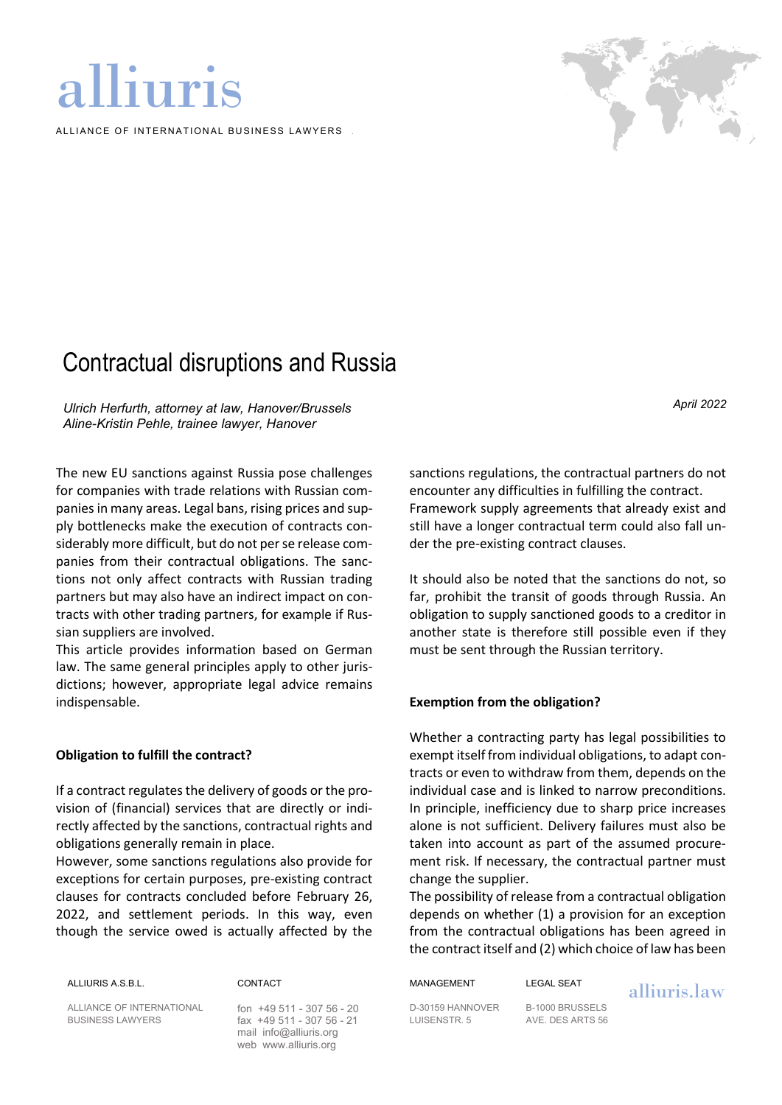# alliuris

ALLIANCE OF INTERNATIONAL BUSINESS LAWYERS



## Contractual disruptions and Russia

*Ulrich Herfurth, attorney at law, Hanover/Brussels Aline-Kristin Pehle, trainee lawyer, Hanover*

The new EU sanctions against Russia pose challenges for companies with trade relations with Russian companies in many areas. Legal bans, rising prices and supply bottlenecks make the execution of contracts considerably more difficult, but do not per se release companies from their contractual obligations. The sanctions not only affect contracts with Russian trading partners but may also have an indirect impact on contracts with other trading partners, for example if Russian suppliers are involved.

This article provides information based on German law. The same general principles apply to other jurisdictions; however, appropriate legal advice remains indispensable.

#### **Obligation to fulfill the contract?**

If a contract regulates the delivery of goods or the provision of (financial) services that are directly or indirectly affected by the sanctions, contractual rights and obligations generally remain in place.

However, some sanctions regulations also provide for exceptions for certain purposes, pre-existing contract clauses for contracts concluded before February 26, 2022, and settlement periods. In this way, even though the service owed is actually affected by the

ALLIANCE OF INTERNATIONAL fon +49 511 - 307 56 - 20 D-30159 HANNOVER B-1000 BRUSSELS

fax +49 511 - 307 56 - 21 LUISENSTR. 5 mail [info@alliuris.org](mailto:info@alliuris.org) web [www.alliuris.org](http://www.alliuris.org/)

sanctions regulations, the contractual partners do not encounter any difficulties in fulfilling the contract. Framework supply agreements that already exist and still have a longer contractual term could also fall under the pre-existing contract clauses.

It should also be noted that the sanctions do not, so far, prohibit the transit of goods through Russia. An obligation to supply sanctioned goods to a creditor in another state is therefore still possible even if they must be sent through the Russian territory.

#### **Exemption from the obligation?**

Whether a contracting party has legal possibilities to exempt itself from individual obligations, to adapt contracts or even to withdraw from them, depends on the individual case and is linked to narrow preconditions. In principle, inefficiency due to sharp price increases alone is not sufficient. Delivery failures must also be taken into account as part of the assumed procurement risk. If necessary, the contractual partner must change the supplier.

The possibility of release from a contractual obligation depends on whether (1) a provision for an exception from the contractual obligations has been agreed in the contract itself and (2) which choice of law has been

ALLIURIS A.S.B.L. CONTACT MANAGEMENT LEGAL SEAT alliuris.law

*April 2022*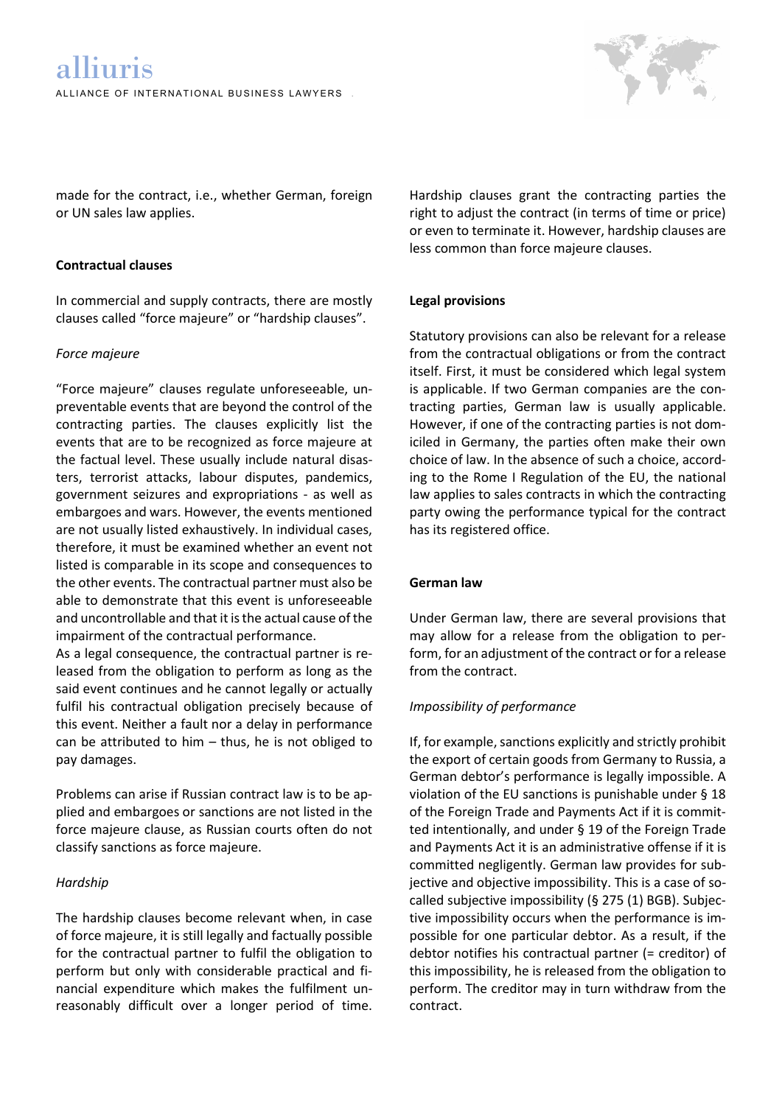

made for the contract, i.e., whether German, foreign or UN sales law applies.

#### **Contractual clauses**

In commercial and supply contracts, there are mostly clauses called "force majeure" or "hardship clauses".

#### *Force majeure*

"Force majeure" clauses regulate unforeseeable, unpreventable events that are beyond the control of the contracting parties. The clauses explicitly list the events that are to be recognized as force majeure at the factual level. These usually include natural disasters, terrorist attacks, labour disputes, pandemics, government seizures and expropriations - as well as embargoes and wars. However, the events mentioned are not usually listed exhaustively. In individual cases, therefore, it must be examined whether an event not listed is comparable in its scope and consequences to the other events. The contractual partner must also be able to demonstrate that this event is unforeseeable and uncontrollable and that it is the actual cause of the impairment of the contractual performance.

As a legal consequence, the contractual partner is released from the obligation to perform as long as the said event continues and he cannot legally or actually fulfil his contractual obligation precisely because of this event. Neither a fault nor a delay in performance can be attributed to him – thus, he is not obliged to pay damages.

Problems can arise if Russian contract law is to be applied and embargoes or sanctions are not listed in the force majeure clause, as Russian courts often do not classify sanctions as force majeure.

#### *Hardship*

The hardship clauses become relevant when, in case of force majeure, it is still legally and factually possible for the contractual partner to fulfil the obligation to perform but only with considerable practical and financial expenditure which makes the fulfilment unreasonably difficult over a longer period of time. Hardship clauses grant the contracting parties the right to adjust the contract (in terms of time or price) or even to terminate it. However, hardship clauses are less common than force majeure clauses.

#### **Legal provisions**

Statutory provisions can also be relevant for a release from the contractual obligations or from the contract itself. First, it must be considered which legal system is applicable. If two German companies are the contracting parties, German law is usually applicable. However, if one of the contracting parties is not domiciled in Germany, the parties often make their own choice of law. In the absence of such a choice, according to the Rome I Regulation of the EU, the national law applies to sales contracts in which the contracting party owing the performance typical for the contract has its registered office.

#### **German law**

Under German law, there are several provisions that may allow for a release from the obligation to perform, for an adjustment of the contract or for a release from the contract.

#### *Impossibility of performance*

If, for example, sanctions explicitly and strictly prohibit the export of certain goods from Germany to Russia, a German debtor's performance is legally impossible. A violation of the EU sanctions is punishable under § 18 of the Foreign Trade and Payments Act if it is committed intentionally, and under § 19 of the Foreign Trade and Payments Act it is an administrative offense if it is committed negligently. German law provides for subjective and objective impossibility. This is a case of socalled subjective impossibility (§ 275 (1) BGB). Subjective impossibility occurs when the performance is impossible for one particular debtor. As a result, if the debtor notifies his contractual partner (= creditor) of this impossibility, he is released from the obligation to perform. The creditor may in turn withdraw from the contract.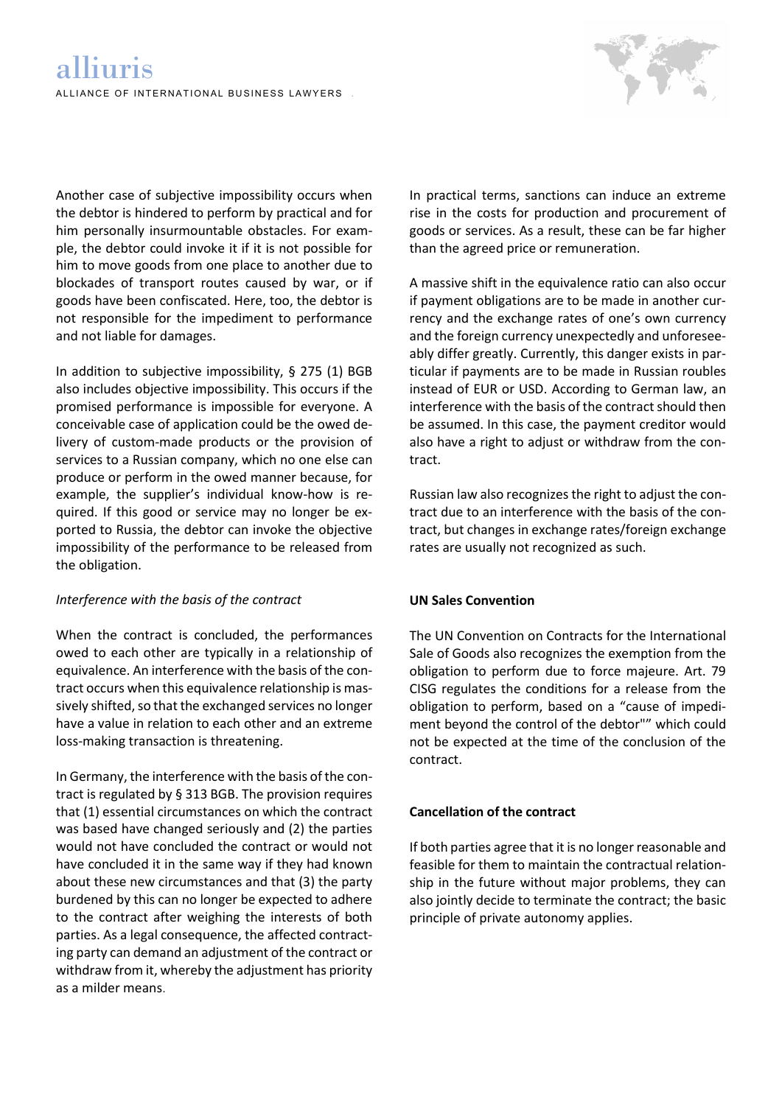

Another case of subjective impossibility occurs when the debtor is hindered to perform by practical and for him personally insurmountable obstacles. For example, the debtor could invoke it if it is not possible for him to move goods from one place to another due to blockades of transport routes caused by war, or if goods have been confiscated. Here, too, the debtor is not responsible for the impediment to performance and not liable for damages.

In addition to subjective impossibility,  $\S$  275 (1) BGB also includes objective impossibility. This occurs if the promised performance is impossible for everyone. A conceivable case of application could be the owed delivery of custom-made products or the provision of services to a Russian company, which no one else can produce or perform in the owed manner because, for example, the supplier's individual know-how is required. If this good or service may no longer be exported to Russia, the debtor can invoke the objective impossibility of the performance to be released from the obligation.

#### *Interference with the basis of the contract*

When the contract is concluded, the performances owed to each other are typically in a relationship of equivalence. An interference with the basis of the contract occurs when this equivalence relationship is massively shifted, so that the exchanged services no longer have a value in relation to each other and an extreme loss-making transaction is threatening.

In Germany, the interference with the basis of the contract is regulated by § 313 BGB. The provision requires that (1) essential circumstances on which the contract was based have changed seriously and (2) the parties would not have concluded the contract or would not have concluded it in the same way if they had known about these new circumstances and that (3) the party burdened by this can no longer be expected to adhere to the contract after weighing the interests of both parties. As a legal consequence, the affected contracting party can demand an adjustment of the contract or withdraw from it, whereby the adjustment has priority as a milder means.

In practical terms, sanctions can induce an extreme rise in the costs for production and procurement of goods or services. As a result, these can be far higher than the agreed price or remuneration.

A massive shift in the equivalence ratio can also occur if payment obligations are to be made in another currency and the exchange rates of one's own currency and the foreign currency unexpectedly and unforeseeably differ greatly. Currently, this danger exists in particular if payments are to be made in Russian roubles instead of EUR or USD. According to German law, an interference with the basis of the contract should then be assumed. In this case, the payment creditor would also have a right to adjust or withdraw from the contract.

Russian law also recognizes the right to adjust the contract due to an interference with the basis of the contract, but changes in exchange rates/foreign exchange rates are usually not recognized as such.

#### **UN Sales Convention**

The UN Convention on Contracts for the International Sale of Goods also recognizes the exemption from the obligation to perform due to force majeure. Art. 79 CISG regulates the conditions for a release from the obligation to perform, based on a "cause of impediment beyond the control of the debtor"" which could not be expected at the time of the conclusion of the contract.

#### **Cancellation of the contract**

If both parties agree that it is no longer reasonable and feasible for them to maintain the contractual relationship in the future without major problems, they can also jointly decide to terminate the contract; the basic principle of private autonomy applies.